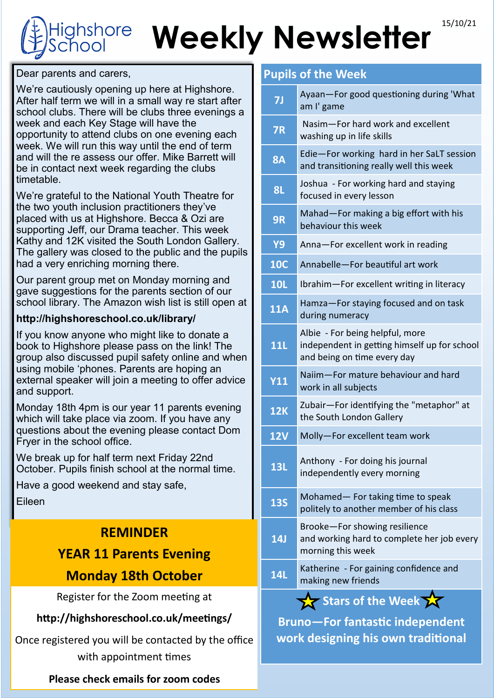## 15/10/21 **Weekly Newsletter shore**

Dear parents and carers,

We're cautiously opening up here at Highshore. After half term we will in a small way re start after school clubs. There will be clubs three evenings a week and each Key Stage will have the opportunity to attend clubs on one evening each week. We will run this way until the end of term and will the re assess our offer. Mike Barrett will be in contact next week regarding the clubs timetable.

We're grateful to the National Youth Theatre for the two youth inclusion practitioners they've placed with us at Highshore. Becca & Ozi are supporting Jeff, our Drama teacher. This week Kathy and 12K visited the South London Gallery. The gallery was closed to the public and the pupils had a very enriching morning there.

Our parent group met on Monday morning and gave suggestions for the parents section of our school library. The Amazon wish list is still open at

#### **http://highshoreschool.co.uk/library/**

If you know anyone who might like to donate a book to Highshore please pass on the link! The group also discussed pupil safety online and when using mobile 'phones. Parents are hoping an external speaker will join a meeting to offer advice and support.

Monday 18th 4pm is our year 11 parents evening which will take place via zoom. If you have any questions about the evening please contact Dom Fryer in the school office.

We break up for half term next Friday 22nd October. Pupils finish school at the normal time.

Have a good weekend and stay safe,

Eileen

#### **REMINDER**

### **YEAR 11 Parents Evening**

#### **Monday 18th October**

Register for the Zoom meeting at

#### **http://highshoreschool.co.uk/meetings/**

Once registered you will be contacted by the office with appointment times

**Please check emails for zoom codes**

#### **Pupils of the Week**

| 7J                | Ayaan-For good questioning during 'What<br>am I' game                                                          |
|-------------------|----------------------------------------------------------------------------------------------------------------|
| <b>7R</b>         | Nasim-For hard work and excellent<br>washing up in life skills                                                 |
| <b>8A</b>         | Edie-For working hard in her SaLT session<br>and transitioning really well this week                           |
| <b>8L</b>         | Joshua - For working hard and staying<br>focused in every lesson                                               |
| 9R                | Mahad-For making a big effort with his<br>behaviour this week                                                  |
| <b>Y9</b>         | Anna-For excellent work in reading                                                                             |
| <b>10C</b>        | Annabelle-For beautiful art work                                                                               |
| <b>10L</b>        | Ibrahim-For excellent writing in literacy                                                                      |
| <b>11A</b>        | Hamza-For staying focused and on task<br>during numeracy                                                       |
| 11L               | Albie - For being helpful, more<br>independent in getting himself up for school<br>and being on time every day |
| <b>Y11</b>        | Naiim-For mature behaviour and hard<br>work in all subjects                                                    |
| <b>12K</b>        | Zubair-For identifying the "metaphor" at<br>the South London Gallery                                           |
| <b>12V</b>        | Molly-For excellent team work                                                                                  |
| <b>13L</b>        | Anthony - For doing his journal<br>independently every morning                                                 |
| <b>13S</b>        | Mohamed-For taking time to speak<br>politely to another member of his class                                    |
| <b>14J</b>        | Brooke-For showing resilience<br>and working hard to complete her job every<br>morning this week               |
| <b>14L</b>        | Katherine - For gaining confidence and<br>making new friends                                                   |
| Stars of the Week |                                                                                                                |

**Bruno—For fantastic independent work designing his own traditional**